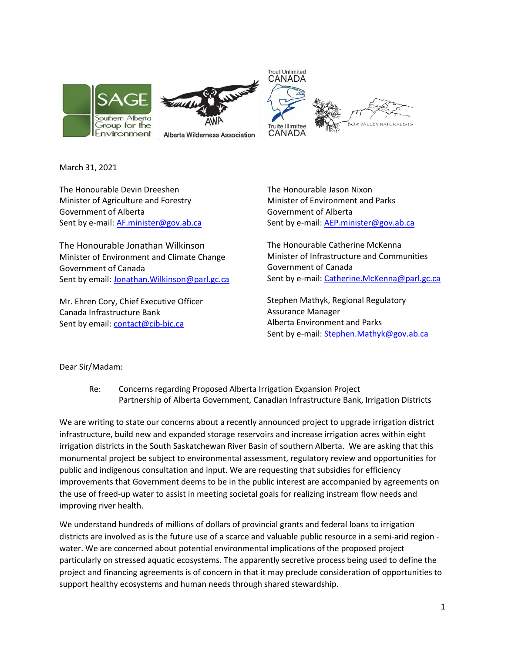

March 31, 2021

The Honourable Devin Dreeshen Minister of Agriculture and Forestry Government of Alberta Sent by e-mail: [AF.minister@gov.ab.ca](mailto:AF.minister@gov.ab.ca)

The Honourable Jonathan Wilkinson Minister of Environment and Climate Change Government of Canada Sent by email: Jonathan. Wilkinson@parl.gc.ca

Mr. Ehren Cory, Chief Executive Officer Canada Infrastructure Bank Sent by email[: contact@cib-bic.ca](mailto:contact@cib-bic.ca)

The Honourable Jason Nixon Minister of Environment and Parks Government of Alberta Sent by e-mail: [AEP.minister@gov.ab.ca](mailto:AEP.minister@gov.ab.ca)

The Honourable Catherine McKenna Minister of Infrastructure and Communities Government of Canada Sent by e-mail: [Catherine.McKenna@parl.gc.ca](mailto:Catherine.McKenna@parl.gc.ca)

Stephen Mathyk, Regional Regulatory Assurance Manager Alberta Environment and Parks Sent by e-mail: [Stephen.Mathyk@gov.ab.ca](mailto:Stephen.Mathyk@gov.ab.ca)

Dear Sir/Madam:

Re: Concerns regarding Proposed Alberta Irrigation Expansion Project Partnership of Alberta Government, Canadian Infrastructure Bank, Irrigation Districts

We are writing to state our concerns about a recently announced project to upgrade irrigation district infrastructure, build new and expanded storage reservoirs and increase irrigation acres within eight irrigation districts in the South Saskatchewan River Basin of southern Alberta. We are asking that this monumental project be subject to environmental assessment, regulatory review and opportunities for public and indigenous consultation and input. We are requesting that subsidies for efficiency improvements that Government deems to be in the public interest are accompanied by agreements on the use of freed-up water to assist in meeting societal goals for realizing instream flow needs and improving river health.

We understand hundreds of millions of dollars of provincial grants and federal loans to irrigation districts are involved as is the future use of a scarce and valuable public resource in a semi-arid region water. We are concerned about potential environmental implications of the proposed project particularly on stressed aquatic ecosystems. The apparently secretive process being used to define the project and financing agreements is of concern in that it may preclude consideration of opportunities to support healthy ecosystems and human needs through shared stewardship.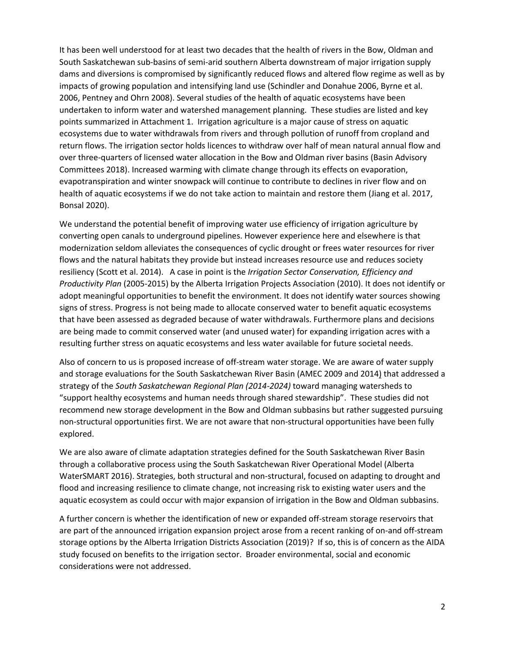It has been well understood for at least two decades that the health of rivers in the Bow, Oldman and South Saskatchewan sub-basins of semi-arid southern Alberta downstream of major irrigation supply dams and diversions is compromised by significantly reduced flows and altered flow regime as well as by impacts of growing population and intensifying land use (Schindler and Donahue 2006, Byrne et al. 2006, Pentney and Ohrn 2008). Several studies of the health of aquatic ecosystems have been undertaken to inform water and watershed management planning. These studies are listed and key points summarized in Attachment 1. Irrigation agriculture is a major cause of stress on aquatic ecosystems due to water withdrawals from rivers and through pollution of runoff from cropland and return flows. The irrigation sector holds licences to withdraw over half of mean natural annual flow and over three-quarters of licensed water allocation in the Bow and Oldman river basins (Basin Advisory Committees 2018). Increased warming with climate change through its effects on evaporation, evapotranspiration and winter snowpack will continue to contribute to declines in river flow and on health of aquatic ecosystems if we do not take action to maintain and restore them (Jiang et al. 2017, Bonsal 2020).

We understand the potential benefit of improving water use efficiency of irrigation agriculture by converting open canals to underground pipelines. However experience here and elsewhere is that modernization seldom alleviates the consequences of cyclic drought or frees water resources for river flows and the natural habitats they provide but instead increases resource use and reduces society resiliency (Scott et al. 2014). A case in point is the *Irrigation Sector Conservation, Efficiency and Productivity Plan* (2005-2015) by the Alberta Irrigation Projects Association (2010). It does not identify or adopt meaningful opportunities to benefit the environment. It does not identify water sources showing signs of stress. Progress is not being made to allocate conserved water to benefit aquatic ecosystems that have been assessed as degraded because of water withdrawals. Furthermore plans and decisions are being made to commit conserved water (and unused water) for expanding irrigation acres with a resulting further stress on aquatic ecosystems and less water available for future societal needs.

Also of concern to us is proposed increase of off-stream water storage. We are aware of water supply and storage evaluations for the South Saskatchewan River Basin (AMEC 2009 and 2014) that addressed a strategy of the *South Saskatchewan Regional Plan (2014-2024)* toward managing watersheds to "support healthy ecosystems and human needs through shared stewardship". These studies did not recommend new storage development in the Bow and Oldman subbasins but rather suggested pursuing non-structural opportunities first. We are not aware that non-structural opportunities have been fully explored.

We are also aware of climate adaptation strategies defined for the South Saskatchewan River Basin through a collaborative process using the South Saskatchewan River Operational Model (Alberta WaterSMART 2016). Strategies, both structural and non-structural, focused on adapting to drought and flood and increasing resilience to climate change, not increasing risk to existing water users and the aquatic ecosystem as could occur with major expansion of irrigation in the Bow and Oldman subbasins.

A further concern is whether the identification of new or expanded off-stream storage reservoirs that are part of the announced irrigation expansion project arose from a recent ranking of on-and off-stream storage options by the Alberta Irrigation Districts Association (2019)? If so, this is of concern as the AIDA study focused on benefits to the irrigation sector. Broader environmental, social and economic considerations were not addressed.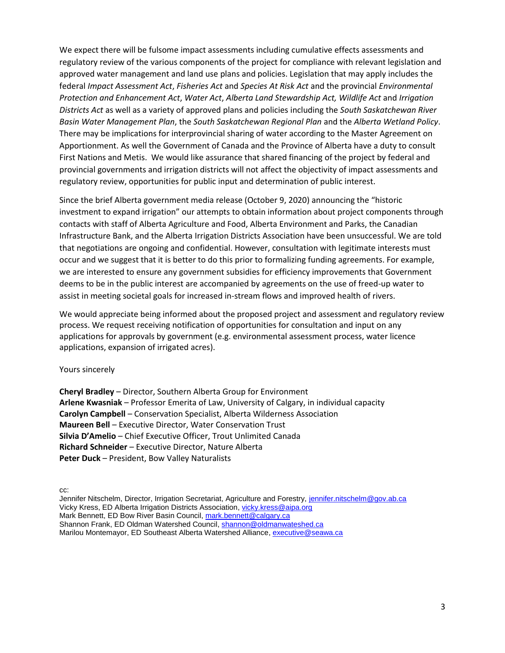We expect there will be fulsome impact assessments including cumulative effects assessments and regulatory review of the various components of the project for compliance with relevant legislation and approved water management and land use plans and policies. Legislation that may apply includes the federal *Impact Assessment Act*, *Fisheries Act* and *Species At Risk Act* and the provincial *Environmental Protection and Enhancement Act*, *Water Act*, *Alberta Land Stewardship Act, Wildlife Act* and *Irrigation Districts Act* as well as a variety of approved plans and policies including the *South Saskatchewan River Basin Water Management Plan*, the *South Saskatchewan Regional Plan* and the *Alberta Wetland Policy*. There may be implications for interprovincial sharing of water according to the Master Agreement on Apportionment. As well the Government of Canada and the Province of Alberta have a duty to consult First Nations and Metis. We would like assurance that shared financing of the project by federal and provincial governments and irrigation districts will not affect the objectivity of impact assessments and regulatory review, opportunities for public input and determination of public interest.

Since the brief Alberta government media release (October 9, 2020) announcing the "historic investment to expand irrigation" our attempts to obtain information about project components through contacts with staff of Alberta Agriculture and Food, Alberta Environment and Parks, the Canadian Infrastructure Bank, and the Alberta Irrigation Districts Association have been unsuccessful. We are told that negotiations are ongoing and confidential. However, consultation with legitimate interests must occur and we suggest that it is better to do this prior to formalizing funding agreements. For example, we are interested to ensure any government subsidies for efficiency improvements that Government deems to be in the public interest are accompanied by agreements on the use of freed-up water to assist in meeting societal goals for increased in-stream flows and improved health of rivers.

We would appreciate being informed about the proposed project and assessment and regulatory review process. We request receiving notification of opportunities for consultation and input on any applications for approvals by government (e.g. environmental assessment process, water licence applications, expansion of irrigated acres).

#### Yours sincerely

**Cheryl Bradley** – Director, Southern Alberta Group for Environment **Arlene Kwasniak** – Professor Emerita of Law, University of Calgary, in individual capacity **Carolyn Campbell** – Conservation Specialist, Alberta Wilderness Association **Maureen Bell** – Executive Director, Water Conservation Trust **Silvia D'Amelio** – Chief Executive Officer, Trout Unlimited Canada **Richard Schneider** – Executive Director, Nature Alberta **Peter Duck** – President, Bow Valley Naturalists

cc:

Jennifer Nitschelm, Director, Irrigation Secretariat, Agriculture and Forestry, [jennifer.nitschelm@gov.ab.ca](mailto:jennifer.nitschelm@gov.ab.ca) Vicky Kress, ED Alberta Irrigation Districts Association, [vicky.kress@aipa.org](mailto:vicky.kress@aipa.org) Mark Bennett, ED Bow River Basin Council, [mark.bennett@calgary.ca](mailto:mark.bennett@calgary.ca) Shannon Frank, ED Oldman Watershed Council, [shannon@oldmanwateshed.ca](mailto:shannon@oldmanwateshed.ca) Marilou Montemayor, ED Southeast Alberta Watershed Alliance, [executive@seawa.ca](mailto:executive@seawa.ca)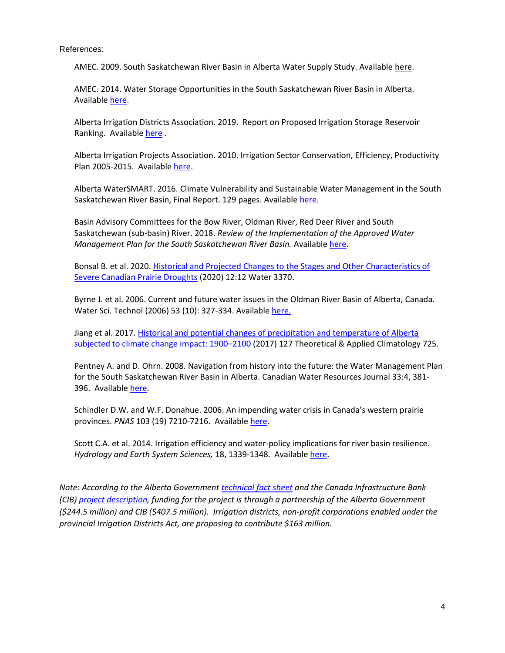References:

AMEC. 2009. South Saskatchewan River Basin in Alberta Water Supply Study. Availabl[e here.](https://www.alberta.ca/irrigation-strategy.aspx)

AMEC. 2014. Water Storage Opportunities in the South Saskatchewan River Basin in Alberta. Available [here.](https://www.alberta.ca/irrigation-strategy.aspx)

Alberta Irrigation Districts Association. 2019. Report on Proposed Irrigation Storage Reservoir Ranking. Availabl[e here](https://aipa.ca/theme/common/page.cfm?i=12405) .

Alberta Irrigation Projects Association. 2010. Irrigation Sector Conservation, Efficiency, Productivity Plan 2005-2015. Availabl[e here.](https://www.awchome.ca/_projectdocs/?file=ec77132c507a8809)

Alberta WaterSMART. 2016. Climate Vulnerability and Sustainable Water Management in the South Saskatchewan River Basin, Final Report. 129 pages. Available [here.](https://albertawater.com/docs-work/projects-and-research/ssrb/178-ssrb-water-project-final-report-adaptation-roadmap-for-sustainable-water-management-in-the-ssrb-january-2016/file)

Basin Advisory Committees for the Bow River, Oldman River, Red Deer River and South Saskatchewan (sub-basin) River. 2018. *Review of the Implementation of the Approved Water Management Plan for the South Saskatchewan River Basin.* Availabl[e here.](https://landusehub.ca/review-of-the-ssrb-water-management-plan/)

Bonsal B. et al. 2020[. Historical and Projected Changes to the Stages and Other Characteristics of](https://www.mdpi.com/2073-4441/12/12/3370/htm)  [Severe Canadian Prairie Droughts](https://www.mdpi.com/2073-4441/12/12/3370/htm) (2020) 12:12 Water 3370.

Byrne J. et al. 2006. Current and future water issues in the Oldman River Basin of Alberta, Canada. Water Sci. Technol (2006) 53 (10): 327-334. Availabl[e here.](https://doi.org/10.2166/wst.2006.328)

Jiang et al. 2017. [Historical and potential changes of precipitation and temperature of Alberta](https://link.springer.com/article/10.1007%2Fs00704-015-1664-y)  [subjected to climate change impact: 1900](https://link.springer.com/article/10.1007%2Fs00704-015-1664-y)–2100 (2017) 127 Theoretical & Applied Climatology 725.

Pentney A. and D. Ohrn. 2008. Navigation from history into the future: the Water Management Plan for the South Saskatchewan River Basin in Alberta. Canadian Water Resources Journal 33:4, 381- 396. Availabl[e here.](https://www.tandfonline.com/doi/abs/10.4296/cwrj3304381)

Schindler D.W. and W.F. Donahue. 2006. An impending water crisis in Canada's western prairie provinces. *PNAS* 103 (19) 7210-7216. Availabl[e here.](https://www.pnas.org/content/103/19/7210)

Scott C.A. et al. 2014. Irrigation efficiency and water-policy implications for river basin resilience. *Hydrology and Earth System Sciences,* 18, 1339-1348. Available [here.](https://hess.copernicus.org/articles/18/1339/2014/)

*Note: According to the Alberta Government [technical fact sheet](https://open.alberta.ca/dataset/5965bef4-0422-4205-94f7-67130acb899e/resource/82e7f84b-9de8-44ae-9564-d8e634c61464/download/af-historic-investment-to-expand-irrigation-technical-fact-sheet-2020.pdf) and the Canada Infrastructure Bank (CIB[\) project description,](https://cib-bic.ca/en/projects/alberta-irrigation/) funding for the project is through a partnership of the Alberta Government (\$244.5 million) and CIB (\$407.5 million). Irrigation districts, non-profit corporations enabled under the provincial Irrigation Districts Act, are proposing to contribute \$163 million.*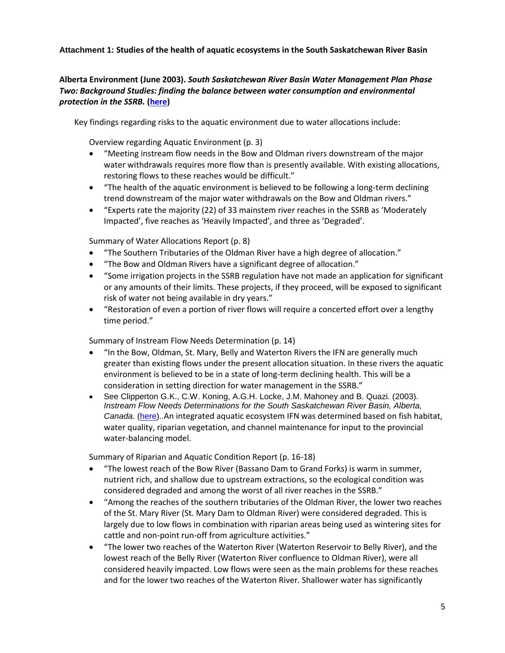### **Attachment 1: Studies of the health of aquatic ecosystems in the South Saskatchewan River Basin**

### **Alberta Environment (June 2003).** *South Saskatchewan River Basin Water Management Plan Phase Two: Background Studies: finding the balance between water consumption and environmental protection in the SSRB.* **[\(here\)](https://open.alberta.ca/publications/0778525171)**

Key findings regarding risks to the aquatic environment due to water allocations include:

Overview regarding Aquatic Environment (p. 3)

- "Meeting instream flow needs in the Bow and Oldman rivers downstream of the major water withdrawals requires more flow than is presently available. With existing allocations, restoring flows to these reaches would be difficult."
- "The health of the aquatic environment is believed to be following a long-term declining trend downstream of the major water withdrawals on the Bow and Oldman rivers."
- "Experts rate the majority (22) of 33 mainstem river reaches in the SSRB as 'Moderately Impacted', five reaches as 'Heavily Impacted', and three as 'Degraded'.

Summary of Water Allocations Report (p. 8)

- "The Southern Tributaries of the Oldman River have a high degree of allocation."
- "The Bow and Oldman Rivers have a significant degree of allocation."
- "Some irrigation projects in the SSRB regulation have not made an application for significant or any amounts of their limits. These projects, if they proceed, will be exposed to significant risk of water not being available in dry years."
- "Restoration of even a portion of river flows will require a concerted effort over a lengthy time period."

Summary of Instream Flow Needs Determination (p. 14)

- "In the Bow, Oldman, St. Mary, Belly and Waterton Rivers the IFN are generally much greater than existing flows under the present allocation situation. In these rivers the aquatic environment is believed to be in a state of long-term declining health. This will be a consideration in setting direction for water management in the SSRB."
- See Clipperton G.K., C.W. Koning, A.G.H. Locke, J.M. Mahoney and B. Quazi. (2003). *Instream Flow Needs Determinations for the South Saskatchewan River Basin, Alberta, Canada.* [\(here\)](https://open.alberta.ca/publications/0778530450)..An integrated aquatic ecosystem IFN was determined based on fish habitat, water quality, riparian vegetation, and channel maintenance for input to the provincial water-balancing model.

Summary of Riparian and Aquatic Condition Report (p. 16-18)

- "The lowest reach of the Bow River (Bassano Dam to Grand Forks) is warm in summer, nutrient rich, and shallow due to upstream extractions, so the ecological condition was considered degraded and among the worst of all river reaches in the SSRB."
- "Among the reaches of the southern tributaries of the Oldman River, the lower two reaches of the St. Mary River (St. Mary Dam to Oldman River) were considered degraded. This is largely due to low flows in combination with riparian areas being used as wintering sites for cattle and non-point run-off from agriculture activities."
- "The lower two reaches of the Waterton River (Waterton Reservoir to Belly River), and the lowest reach of the Belly River (Waterton River confluence to Oldman River), were all considered heavily impacted. Low flows were seen as the main problems for these reaches and for the lower two reaches of the Waterton River. Shallower water has significantly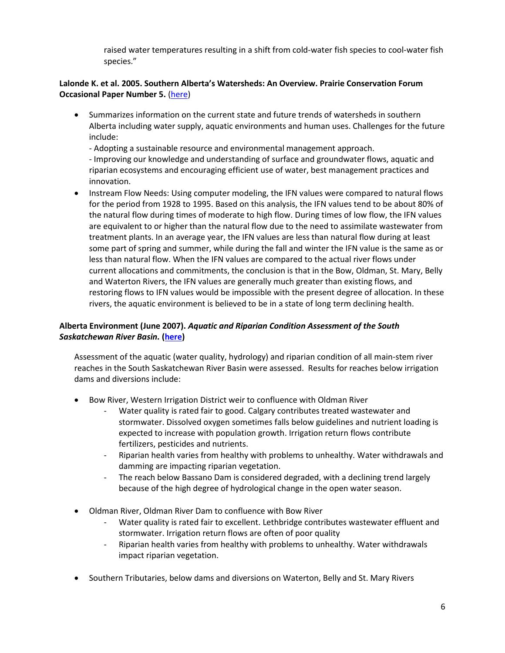raised water temperatures resulting in a shift from cold-water fish species to cool-water fish species."

### **Lalonde K. et al. 2005. Southern Alberta's Watersheds: An Overview. Prairie Conservation Forum Occasional Paper Number 5.** [\(here\)](http://www.albertapcf.org/rsu_docs/occasional_paper_5.pdf)

 Summarizes information on the current state and future trends of watersheds in southern Alberta including water supply, aquatic environments and human uses. Challenges for the future include:

- Adopting a sustainable resource and environmental management approach.

- Improving our knowledge and understanding of surface and groundwater flows, aquatic and riparian ecosystems and encouraging efficient use of water, best management practices and innovation.

 Instream Flow Needs: Using computer modeling, the IFN values were compared to natural flows for the period from 1928 to 1995. Based on this analysis, the IFN values tend to be about 80% of the natural flow during times of moderate to high flow. During times of low flow, the IFN values are equivalent to or higher than the natural flow due to the need to assimilate wastewater from treatment plants. In an average year, the IFN values are less than natural flow during at least some part of spring and summer, while during the fall and winter the IFN value is the same as or less than natural flow. When the IFN values are compared to the actual river flows under current allocations and commitments, the conclusion is that in the Bow, Oldman, St. Mary, Belly and Waterton Rivers, the IFN values are generally much greater than existing flows, and restoring flows to IFN values would be impossible with the present degree of allocation. In these rivers, the aquatic environment is believed to be in a state of long term declining health.

## **Alberta Environment (June 2007).** *Aquatic and Riparian Condition Assessment of the South Saskatchewan River Basin.* **[\(here\)](https://open.alberta.ca/publications/9780778567196)**

Assessment of the aquatic (water quality, hydrology) and riparian condition of all main-stem river reaches in the South Saskatchewan River Basin were assessed. Results for reaches below irrigation dams and diversions include:

- Bow River, Western Irrigation District weir to confluence with Oldman River
	- Water quality is rated fair to good. Calgary contributes treated wastewater and stormwater. Dissolved oxygen sometimes falls below guidelines and nutrient loading is expected to increase with population growth. Irrigation return flows contribute fertilizers, pesticides and nutrients.
	- Riparian health varies from healthy with problems to unhealthy. Water withdrawals and damming are impacting riparian vegetation.
	- The reach below Bassano Dam is considered degraded, with a declining trend largely because of the high degree of hydrological change in the open water season.
- Oldman River, Oldman River Dam to confluence with Bow River
	- Water quality is rated fair to excellent. Lethbridge contributes wastewater effluent and stormwater. Irrigation return flows are often of poor quality
	- Riparian health varies from healthy with problems to unhealthy. Water withdrawals impact riparian vegetation.
- Southern Tributaries, below dams and diversions on Waterton, Belly and St. Mary Rivers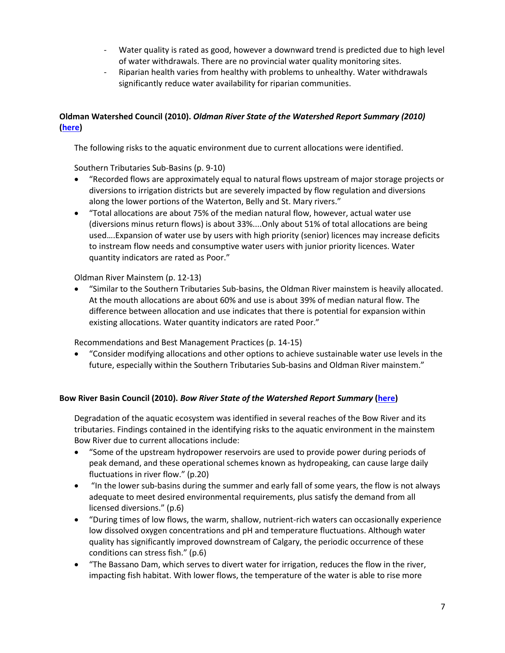- Water quality is rated as good, however a downward trend is predicted due to high level of water withdrawals. There are no provincial water quality monitoring sites.
- Riparian health varies from healthy with problems to unhealthy. Water withdrawals significantly reduce water availability for riparian communities.

# **Oldman Watershed Council (2010).** *Oldman River State of the Watershed Report Summary (2010)* **[\(here\)](https://oldmanwatershed.ca/publications-list/state-of-the-watershed#:~:text=It%20is%20an%20overall%20report,water%20quantity%20and%20water%20quality.&text=The%20report%20is%20intended%20to,where%20future%20research%20is%20required)**

The following risks to the aquatic environment due to current allocations were identified.

Southern Tributaries Sub-Basins (p. 9-10)

- "Recorded flows are approximately equal to natural flows upstream of major storage projects or diversions to irrigation districts but are severely impacted by flow regulation and diversions along the lower portions of the Waterton, Belly and St. Mary rivers."
- "Total allocations are about 75% of the median natural flow, however, actual water use (diversions minus return flows) is about 33%....Only about 51% of total allocations are being used….Expansion of water use by users with high priority (senior) licences may increase deficits to instream flow needs and consumptive water users with junior priority licences. Water quantity indicators are rated as Poor."

Oldman River Mainstem (p. 12-13)

 "Similar to the Southern Tributaries Sub-basins, the Oldman River mainstem is heavily allocated. At the mouth allocations are about 60% and use is about 39% of median natural flow. The difference between allocation and use indicates that there is potential for expansion within existing allocations. Water quantity indicators are rated Poor."

Recommendations and Best Management Practices (p. 14-15)

 "Consider modifying allocations and other options to achieve sustainable water use levels in the future, especially within the Southern Tributaries Sub-basins and Oldman River mainstem."

# **Bow River Basin Council (2010).** *Bow River State of the Watershed Report Summary* **[\(here\)](https://www.brbc.ab.ca/index.php?option=com_content&view=article&id=45&Itemid=170)**

Degradation of the aquatic ecosystem was identified in several reaches of the Bow River and its tributaries. Findings contained in the identifying risks to the aquatic environment in the mainstem Bow River due to current allocations include:

- "Some of the upstream hydropower reservoirs are used to provide power during periods of peak demand, and these operational schemes known as hydropeaking, can cause large daily fluctuations in river flow." (p.20)
- "In the lower sub-basins during the summer and early fall of some years, the flow is not always adequate to meet desired environmental requirements, plus satisfy the demand from all licensed diversions." (p.6)
- "During times of low flows, the warm, shallow, nutrient-rich waters can occasionally experience low dissolved oxygen concentrations and pH and temperature fluctuations. Although water quality has significantly improved downstream of Calgary, the periodic occurrence of these conditions can stress fish." (p.6)
- "The Bassano Dam, which serves to divert water for irrigation, reduces the flow in the river, impacting fish habitat. With lower flows, the temperature of the water is able to rise more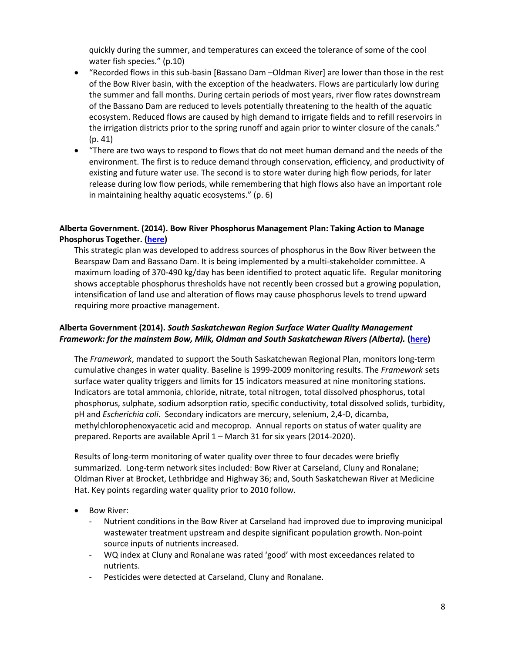quickly during the summer, and temperatures can exceed the tolerance of some of the cool water fish species." (p.10)

- "Recorded flows in this sub-basin [Bassano Dam –Oldman River] are lower than those in the rest of the Bow River basin, with the exception of the headwaters. Flows are particularly low during the summer and fall months. During certain periods of most years, river flow rates downstream of the Bassano Dam are reduced to levels potentially threatening to the health of the aquatic ecosystem. Reduced flows are caused by high demand to irrigate fields and to refill reservoirs in the irrigation districts prior to the spring runoff and again prior to winter closure of the canals." (p. 41)
- "There are two ways to respond to flows that do not meet human demand and the needs of the environment. The first is to reduce demand through conservation, efficiency, and productivity of existing and future water use. The second is to store water during high flow periods, for later release during low flow periods, while remembering that high flows also have an important role in maintaining healthy aquatic ecosystems." (p. 6)

### **Alberta Government. (2014). Bow River Phosphorus Management Plan: Taking Action to Manage Phosphorus Together. [\(here\)](https://open.alberta.ca/dataset/ecb82323-c147-4eba-83e6-ca9838ca6f30/resource/aa0c7487-2bb2-4bd6-99d0-295882376c7d/download/bowriverphoshporusplan-2015.pdf)**

This strategic plan was developed to address sources of phosphorus in the Bow River between the Bearspaw Dam and Bassano Dam. It is being implemented by a multi-stakeholder committee. A maximum loading of 370-490 kg/day has been identified to protect aquatic life. Regular monitoring shows acceptable phosphorus thresholds have not recently been crossed but a growing population, intensification of land use and alteration of flows may cause phosphorus levels to trend upward requiring more proactive management.

### **Alberta Government (2014).** *South Saskatchewan Region Surface Water Quality Management Framework: for the mainstem Bow, Milk, Oldman and South Saskatchewan Rivers (Alberta).* **[\(here\)](https://open.alberta.ca/publications/9781460118603)**

The *Framework*, mandated to support the South Saskatchewan Regional Plan, monitors long-term cumulative changes in water quality. Baseline is 1999-2009 monitoring results. The *Framework* sets surface water quality triggers and limits for 15 indicators measured at nine monitoring stations. Indicators are total ammonia, chloride, nitrate, total nitrogen, total dissolved phosphorus, total phosphorus, sulphate, sodium adsorption ratio, specific conductivity, total dissolved solids, turbidity, pH and *Escherichia coli*. Secondary indicators are mercury, selenium, 2,4-D, dicamba, methylchlorophenoxyacetic acid and mecoprop. Annual reports on status of water quality are prepared. Reports are available April 1 – March 31 for six years (2014-2020).

Results of long-term monitoring of water quality over three to four decades were briefly summarized. Long-term network sites included: Bow River at Carseland, Cluny and Ronalane; Oldman River at Brocket, Lethbridge and Highway 36; and, South Saskatchewan River at Medicine Hat. Key points regarding water quality prior to 2010 follow.

- Bow River:
	- Nutrient conditions in the Bow River at Carseland had improved due to improving municipal wastewater treatment upstream and despite significant population growth. Non-point source inputs of nutrients increased.
	- WQ index at Cluny and Ronalane was rated 'good' with most exceedances related to nutrients.
	- Pesticides were detected at Carseland, Cluny and Ronalane.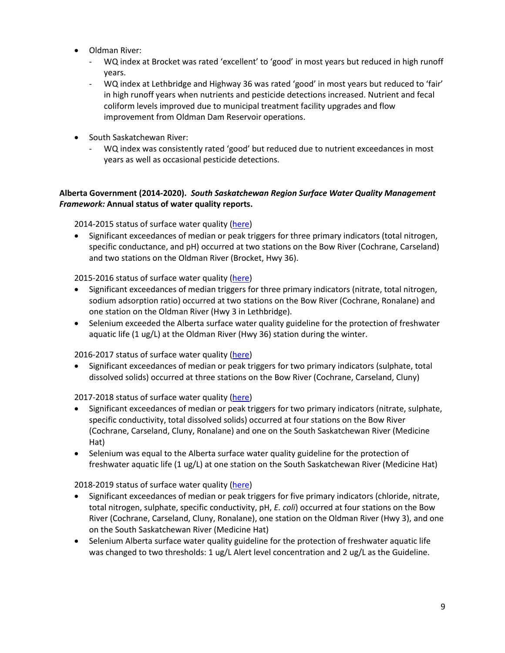- Oldman River:
	- WQ index at Brocket was rated 'excellent' to 'good' in most years but reduced in high runoff years.
	- WQ index at Lethbridge and Highway 36 was rated 'good' in most years but reduced to 'fair' in high runoff years when nutrients and pesticide detections increased. Nutrient and fecal coliform levels improved due to municipal treatment facility upgrades and flow improvement from Oldman Dam Reservoir operations.
- South Saskatchewan River:
	- WQ index was consistently rated 'good' but reduced due to nutrient exceedances in most years as well as occasional pesticide detections.

## **Alberta Government (2014-2020).** *South Saskatchewan Region Surface Water Quality Management Framework:* **Annual status of water quality reports.**

2014-2015 status of surface water quality [\(here\)](https://open.alberta.ca/publications/9781460130681)

 Significant exceedances of median or peak triggers for three primary indicators (total nitrogen, specific conductance, and pH) occurred at two stations on the Bow River (Cochrane, Carseland) and two stations on the Oldman River (Brocket, Hwy 36).

2015-2016 status of surface water quality [\(here\)](https://open.alberta.ca/publications/9781460135822)

- Significant exceedances of median triggers for three primary indicators (nitrate, total nitrogen, sodium adsorption ratio) occurred at two stations on the Bow River (Cochrane, Ronalane) and one station on the Oldman River (Hwy 3 in Lethbridge).
- Selenium exceeded the Alberta surface water quality guideline for the protection of freshwater aquatic life (1 ug/L) at the Oldman River (Hwy 36) station during the winter.

2016-2017 status of surface water quality [\(here\)](https://open.alberta.ca/publications/9781460135839)

 Significant exceedances of median or peak triggers for two primary indicators (sulphate, total dissolved solids) occurred at three stations on the Bow River (Cochrane, Carseland, Cluny)

2017-2018 status of surface water quality [\(here\)](https://open.alberta.ca/publications/9781460141649)

- Significant exceedances of median or peak triggers for two primary indicators (nitrate, sulphate, specific conductivity, total dissolved solids) occurred at four stations on the Bow River (Cochrane, Carseland, Cluny, Ronalane) and one on the South Saskatchewan River (Medicine Hat)
- Selenium was equal to the Alberta surface water quality guideline for the protection of freshwater aquatic life (1 ug/L) at one station on the South Saskatchewan River (Medicine Hat)

2018-2019 status of surface water quality [\(here\)](https://open.alberta.ca/publications/status-of-surface-water-quality-south-saskatchewan-region-alberta)

- Significant exceedances of median or peak triggers for five primary indicators (chloride, nitrate, total nitrogen, sulphate, specific conductivity, pH, *E. coli*) occurred at four stations on the Bow River (Cochrane, Carseland, Cluny, Ronalane), one station on the Oldman River (Hwy 3), and one on the South Saskatchewan River (Medicine Hat)
- Selenium Alberta surface water quality guideline for the protection of freshwater aquatic life was changed to two thresholds: 1 ug/L Alert level concentration and 2 ug/L as the Guideline.